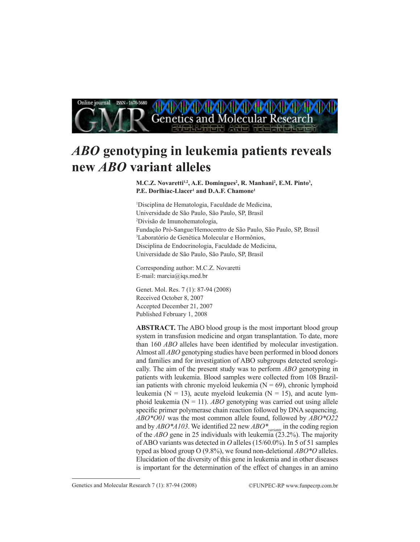

# *ABO* **genotyping in leukemia patients reveals new** *ABO* **variant alleles**

**M.C.Z. Novaretti<sup>1,2</sup>, A.E. Domingues<sup>2</sup>, R. Manhani<sup>2</sup>, E.M. Pinto<sup>3</sup>, P.E. Dorlhiac-Llacer1 and D.A.F. Chamone1**

1 Disciplina de Hematologia, Faculdade de Medicina, Universidade de São Paulo, São Paulo, SP, Brasil 2 Divisão de Imunohematologia, Fundação Pró-Sangue/Hemocentro de São Paulo, São Paulo, SP, Brasil 3 Laboratório de Genética Molecular e Hormônios, Disciplina de Endocrinologia, Faculdade de Medicina, Universidade de São Paulo, São Paulo, SP, Brasil

Corresponding author: M.C.Z. Novaretti E-mail: marcia@iqs.med.br

Genet. Mol. Res. 7 (1): 87-94 (2008) Received October 8, 2007 Accepted December 21, 2007 Published February 1, 2008

**ABSTRACT.** The ABO blood group is the most important blood group system in transfusion medicine and organ transplantation. To date, more than 160 *ABO* alleles have been identified by molecular investigation. Almost all *ABO* genotyping studies have been performed in blood donors and families and for investigation of ABO subgroups detected serologically. The aim of the present study was to perform *ABO* genotyping in patients with leukemia. Blood samples were collected from 108 Brazilian patients with chronic myeloid leukemia  $(N = 69)$ , chronic lymphoid leukemia ( $N = 13$ ), acute myeloid leukemia ( $N = 15$ ), and acute lymphoid leukemia  $(N = 11)$ . *ABO* genotyping was carried out using allele specific primer polymerase chain reaction followed by DNA sequencing. *ABO\*O01* was the most common allele found, followed by *ABO\*O22* and by *ABO\*A103*. We identified 22 new *ABO\*variants* in the coding region of the *ABO* gene in 25 individuals with leukemia (23.2%). The majority of ABO variants was detected in *O* alleles (15/60.0%). In 5 of 51 samples typed as blood group O (9.8%), we found non-deletional *ABO\*O* alleles. Elucidation of the diversity of this gene in leukemia and in other diseases is important for the determination of the effect of changes in an amino

Genetics and Molecular Research 7 (1): 87-94 (2008) ©FUNPEC-RP www.funpecrp.com.br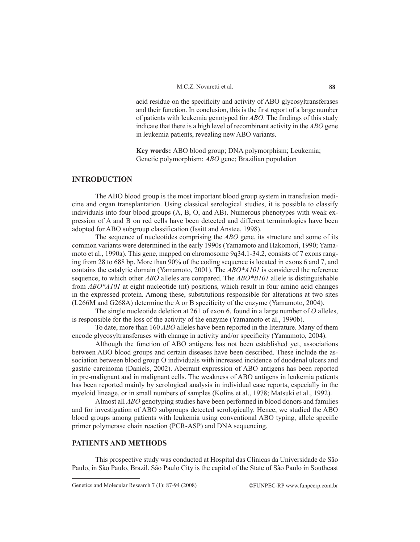acid residue on the specificity and activity of ABO glycosyltransferases and their function. In conclusion, this is the first report of a large number of patients with leukemia genotyped for *ABO*. The findings of this study indicate that there is a high level of recombinant activity in the *ABO* gene in leukemia patients, revealing new ABO variants.

**Key words:** ABO blood group; DNA polymorphism; Leukemia; Genetic polymorphism; *ABO* gene; Brazilian population

## **Introduction**

The ABO blood group is the most important blood group system in transfusion medicine and organ transplantation. Using classical serological studies, it is possible to classify individuals into four blood groups (A, B, O, and AB). Numerous phenotypes with weak expression of A and B on red cells have been detected and different terminologies have been adopted for ABO subgroup classification (Issitt and Anstee, 1998).

The sequence of nucleotides comprising the *ABO* gene, its structure and some of its common variants were determined in the early 1990s (Yamamoto and Hakomori, 1990; Yamamoto et al., 1990a). This gene, mapped on chromosome 9q34.1-34.2, consists of 7 exons ranging from 28 to 688 bp. More than 90% of the coding sequence is located in exons 6 and 7, and contains the catalytic domain (Yamamoto, 2001). The *ABO\*A101* is considered the reference sequence, to which other *ABO* alleles are compared. The *ABO\*B101* allele is distinguishable from *ABO\*A101* at eight nucleotide (nt) positions, which result in four amino acid changes in the expressed protein. Among these, substitutions responsible for alterations at two sites (L266M and G268A) determine the A or B specificity of the enzyme (Yamamoto, 2004).

The single nucleotide deletion at 261 of exon 6, found in a large number of *O* alleles, is responsible for the loss of the activity of the enzyme (Yamamoto et al., 1990b).

To date, more than 160 *ABO* alleles have been reported in the literature. Many of them encode glycosyltransferases with change in activity and/or specificity (Yamamoto, 2004).

Although the function of ABO antigens has not been established yet, associations between ABO blood groups and certain diseases have been described. These include the association between blood group O individuals with increased incidence of duodenal ulcers and gastric carcinoma (Daniels, 2002). Aberrant expression of ABO antigens has been reported in pre-malignant and in malignant cells. The weakness of ABO antigens in leukemia patients has been reported mainly by serological analysis in individual case reports, especially in the myeloid lineage, or in small numbers of samples (Kolins et al., 1978; Matsuki et al., 1992).

Almost all *ABO* genotyping studies have been performed in blood donors and families and for investigation of ABO subgroups detected serologically. Hence, we studied the ABO blood groups among patients with leukemia using conventional ABO typing, allele specific primer polymerase chain reaction (PCR-ASP) and DNA sequencing.

#### **Patients and Methods**

This prospective study was conducted at Hospital das Clínicas da Universidade de São Paulo, in São Paulo, Brazil. São Paulo City is the capital of the State of São Paulo in Southeast

Genetics and Molecular Research 7 (1): 87-94 (2008) ©FUNPEC-RP www.funpecrp.com.br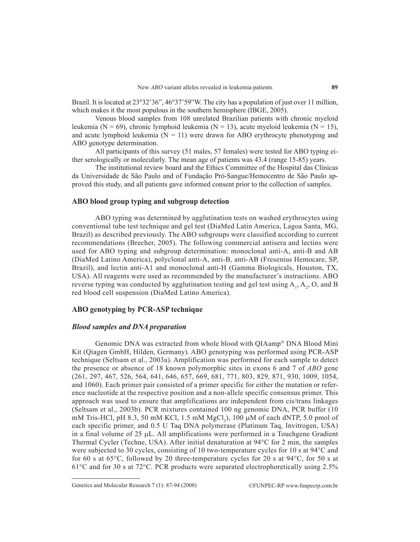Brazil. It is located at 23°32'36", 46°37'59"W. The city has a population of just over 11 million, which makes it the most populous in the southern hemisphere (IBGE, 2005).

Venous blood samples from 108 unrelated Brazilian patients with chronic myeloid leukemia (N = 69), chronic lymphoid leukemia (N = 13), acute myeloid leukemia (N = 15), and acute lymphoid leukemia ( $N = 11$ ) were drawn for ABO erythrocyte phenotyping and ABO genotype determination.

All participants of this survey (51 males, 57 females) were tested for ABO typing either serologically or molecularly. The mean age of patients was 43.4 (range 15-85) years.

The institutional review board and the Ethics Committee of the Hospital das Clínicas da Universidade de São Paulo and of Fundação Pró-Sangue/Hemocentro de São Paulo approved this study, and all patients gave informed consent prior to the collection of samples.

## **ABO blood group typing and subgroup detection**

ABO typing was determined by agglutination tests on washed erythrocytes using conventional tube test technique and gel test (DiaMed Latin America, Lagoa Santa, MG, Brazil) as described previously. The ABO subgroups were classified according to current recommendations (Brecher, 2005). The following commercial antisera and lectins were used for ABO typing and subgroup determination: monoclonal anti-A, anti-B and AB (DiaMed Latino America), polyclonal anti-A, anti-B, anti-AB (Fresenius Hemocare, SP, Brazil), and lectin anti-A1 and monoclonal anti-H (Gamma Biologicals, Houston, TX, USA). All reagents were used as recommended by the manufacturer's instructions. ABO reverse typing was conducted by agglutination testing and gel test using  $A_1$ ,  $A_2$ , O, and B red blood cell suspension (DiaMed Latino America).

## **ABO genotyping by PCR-ASP technique**

## *Blood samples and DNA preparation*

Genomic DNA was extracted from whole blood with QIAamp® DNA Blood Mini Kit (Qiagen GmbH, Hilden, Germany). ABO genotyping was performed using PCR-ASP technique (Seltsam et al., 2003a). Amplification was performed for each sample to detect the presence or absence of 18 known polymorphic sites in exons 6 and 7 of *ABO* gene (261, 297, 467, 526, 564, 641, 646, 657, 669, 681, 771, 803, 829, 871, 930, 1009, 1054, and 1060). Each primer pair consisted of a primer specific for either the mutation or reference nucleotide at the respective position and a non-allele specific consensus primer. This approach was used to ensure that amplifications are independent from cis/trans linkages (Seltsam et al., 2003b). PCR mixtures contained 100 ng genomic DNA, PCR buffer (10 mM Tris-HCl, pH 8.3, 50 mM KCl, 1.5 mM  $MgCl_2$ ), 100 µM of each dNTP, 5.0 pmol of each specific primer, and 0.5 U Taq DNA polymerase (Platinum Taq, Invitrogen, USA) in a final volume of  $25 \mu L$ . All amplifications were performed in a Touchgene Gradient Thermal Cycler (Techne, USA). After initial denaturation at 94°C for 2 min, the samples were subjected to 30 cycles, consisting of 10 two-temperature cycles for 10 s at 94°C and for 60 s at 65 $^{\circ}$ C, followed by 20 three-temperature cycles for 20 s at 94 $^{\circ}$ C, for 50 s at 61°C and for 30 s at 72°C. PCR products were separated electrophoretically using 2.5%

Genetics and Molecular Research 7 (1): 87-94 (2008) ©FUNPEC-RP www.funpecrp.com.br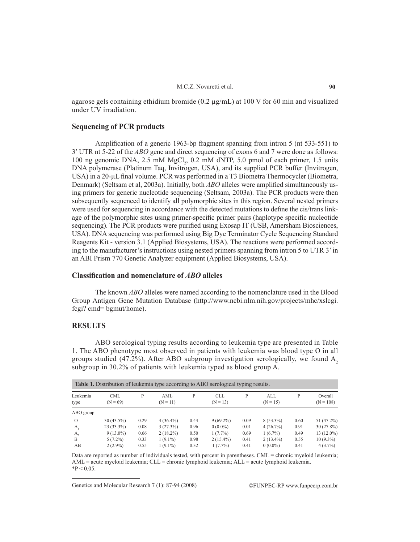agarose gels containing ethidium bromide (0.2  $\mu$ g/mL) at 100 V for 60 min and visualized under UV irradiation.

#### **Sequencing of PCR products**

Amplification of a generic 1963-bp fragment spanning from intron 5 (nt 533-551) to 3' UTR nt 5-22 of the *ABO* gene and direct sequencing of exons 6 and 7 were done as follows: 100 ng genomic DNA,  $2.5$  mM  $MgCl<sub>2</sub>$ , 0.2 mM dNTP, 5.0 pmol of each primer, 1.5 units DNA polymerase (Platinum Taq, Invitrogen, USA), and its supplied PCR buffer (Invitrogen, USA) in a 20-µL final volume. PCR was performed in a T3 Biometra Thermocycler (Biometra, Denmark) (Seltsam et al, 2003a). Initially, both *ABO* alleles were amplified simultaneously using primers for generic nucleotide sequencing (Seltsam, 2003a). The PCR products were then subsequently sequenced to identify all polymorphic sites in this region. Several nested primers were used for sequencing in accordance with the detected mutations to define the cis/trans linkage of the polymorphic sites using primer-specific primer pairs (haplotype specific nucleotide sequencing). The PCR products were purified using Exosap IT (USB, Amersham Biosciences, USA). DNA sequencing was performed using Big Dye Terminator Cycle Sequencing Standard Reagents Kit - version 3.1 (Applied Biosystems, USA). The reactions were performed according to the manufacturer's instructions using nested primers spanning from intron 5 to UTR 3' in an ABI Prism 770 Genetic Analyzer equipment (Applied Biosystems, USA).

## **Classification and nomenclature of** *ABO* **alleles**

The known *ABO* alleles were named according to the nomenclature used in the Blood Group Antigen Gene Mutation Database (http://www.ncbi.nlm.nih.gov/projects/mhc/xslcgi. fcgi? cmd= bgmut/home).

## **RESULTS**

ABO serological typing results according to leukemia type are presented in Table 1. The ABO phenotype most observed in patients with leukemia was blood type O in all groups studied (47.2%). After ABO subgroup investigation serologically, we found  $A<sub>2</sub>$ subgroup in 30.2% of patients with leukemia typed as blood group A.

| <b>Table 1.</b> Distribution of leukemia type according to ABO serological typing results. |                          |      |                   |      |                          |      |                   |      |                        |
|--------------------------------------------------------------------------------------------|--------------------------|------|-------------------|------|--------------------------|------|-------------------|------|------------------------|
| Leukemia<br>type                                                                           | <b>CML</b><br>$(N = 69)$ | P    | AML<br>$(N = 11)$ | P    | <b>CLL</b><br>$(N = 13)$ | P    | ALL<br>$(N = 15)$ | P    | Overall<br>$(N = 108)$ |
| ABO group                                                                                  |                          |      |                   |      |                          |      |                   |      |                        |
| $\Omega$                                                                                   | $30(43.5\%)$             | 0.29 | $4(36.4\%)$       | 0.44 | $9(69.2\%)$              | 0.09 | $8(53.3\%)$       | 0.60 | 51 (47.2%)             |
| А,                                                                                         | $23(33.3\%)$             | 0.08 | 3(27.3%)          | 0.96 | $0(0.0\%)$               | 0.01 | 4(26.7%)          | 0.91 | $30(27.8\%)$           |
| A,                                                                                         | $9(13.0\%)$              | 0.66 | $2(18.2\%)$       | 0.50 | $1(7.7\%)$               | 0.69 | $1(6.7\%)$        | 0.49 | $13(12.0\%)$           |
| B                                                                                          | $5(7.2\%)$               | 0.33 | $1(9.1\%)$        | 0.98 | $2(15.4\%)$              | 0.41 | $2(13.4\%)$       | 0.55 | $10(9.3\%)$            |
| AB                                                                                         | $2(2.9\%)$               | 0.55 | $1(9.1\%)$        | 0.32 | $1(7.7\%)$               | 0.41 | $0(0.0\%)$        | 0.41 | $4(3.7\%)$             |

Data are reported as number of individuals tested, with percent in parentheses. CML = chronic myeloid leukemia; AML = acute myeloid leukemia; CLL = chronic lymphoid leukemia; ALL = acute lymphoid leukemia.  $*P < 0.05$ .

Genetics and Molecular Research 7 (1): 87-94 (2008) ©FUNPEC-RP www.funpecrp.com.br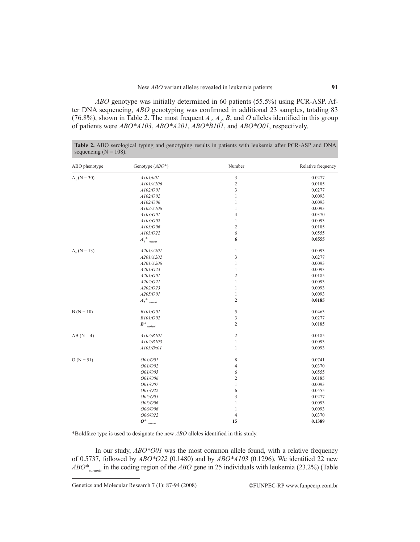*ABO* genotype was initially determined in 60 patients (55.5%) using PCR-ASP. After DNA sequencing, *ABO* genotyping was confirmed in additional 23 samples, totaling 83 (76.8%), shown in Table 2. The most frequent  $A_1$ ,  $A_2$ ,  $B$ , and  $O$  alleles identified in this group of patients were *ABO\*A103*, *ABO\*A201*, *ABO\*B101*, and *ABO\*O01*, respectively.

| ABO phenotype | Genotype $(ABO^*)$                                      | Number                      | Relative frequency |
|---------------|---------------------------------------------------------|-----------------------------|--------------------|
| $A_1(N = 30)$ | A101/001                                                | $\mathfrak{Z}$              | 0.0277             |
|               | A101/A206                                               | $\sqrt{2}$                  | 0.0185             |
|               | A102/O01                                                | $\ensuremath{\mathfrak{Z}}$ | 0.0277             |
|               | A102/O02                                                | $\mathbf{1}$                | 0.0093             |
|               | A102/O06                                                | $\mathbf{1}$                | 0.0093             |
|               | A102/A106                                               | $\mathbf{1}$                | 0.0093             |
|               | A103/O01                                                | $\overline{4}$              | 0.0370             |
|               | A103/O02                                                | $\mathbf{1}$                | 0.0093             |
|               | A103/O06                                                | $\sqrt{2}$                  | 0.0185             |
|               | A103/O22                                                | 6                           | 0.0555             |
|               | $A_i^*$ <sub>variant</sub>                              | 6                           | 0.0555             |
| $A_2(N = 13)$ | A201/A201                                               | $\mathbf{1}$                | 0.0093             |
|               | A201/A202                                               | $\sqrt{3}$                  | 0.0277             |
|               | A201/A206                                               | $\,1\,$                     | 0.0093             |
|               | A201/O23                                                | $\,1\,$                     | 0.0093             |
|               | A201/O01                                                | $\sqrt{2}$                  | 0.0185             |
|               | A202/O21                                                | $\,1\,$                     | 0.0093             |
|               | A202/O23                                                | $\,1\,$                     | 0.0093             |
|               | A205/O01                                                | $\mathbf{1}$                | 0.0093             |
|               | $A_{\scriptscriptstyle 2}^{\;\;\star\;\;}$ $_{variant}$ | $\mathbf 2$                 | 0.0185             |
| $B(N = 10)$   | <b>B101/001</b>                                         | 5                           | 0.0463             |
|               | B101/O02                                                | $\overline{\mathbf{3}}$     | 0.0277             |
|               | $B^*$<br>variant                                        | $\overline{2}$              | 0.0185             |
| $AB(N=4)$     | A102/B101                                               | $\sqrt{2}$                  | 0.0185             |
|               | A102/B103                                               | $\,1\,$                     | 0.0093             |
|               | A103/Bx01                                               | $\mathbf{1}$                | 0.0093             |
| $O(N = 51)$   | 001/001                                                 | $\,$ 8 $\,$                 | 0.0741             |
|               | 001/002                                                 | $\overline{4}$              | 0.0370             |
|               | 001/005                                                 | 6                           | 0.0555             |
|               | 001/006                                                 | $\sqrt{2}$                  | 0.0185             |
|               | 001/007                                                 | $\,1\,$                     | 0.0093             |
|               | 001/022                                                 | 6                           | 0.0555             |
|               | 005/005                                                 | $\ensuremath{\mathfrak{Z}}$ | 0.0277             |
|               | 005/006                                                 | $1\,$                       | 0.0093             |
|               | 006/006                                                 | $\,1\,$                     | 0.0093             |
|               | 006/022                                                 | $\overline{4}$              | 0.0370             |
|               | $0^*$<br>variant                                        | 15                          | 0.1389             |

**Table 2.** ABO serological typing and genotyping results in patients with leukemia after PCR-ASP and DNA sequencing  $(N = 108)$ .

\*Boldface type is used to designate the new *ABO* alleles identified in this study.

In our study, *ABO\*O01* was the most common allele found, with a relative frequency of 0.5737, followed by *ABO\*O22* (0.1480) and by *ABO\*A103* (0.1296). We identified 22 new *ABO\*variants* in the coding region of the *ABO* gene in 25 individuals with leukemia (23.2%) (Table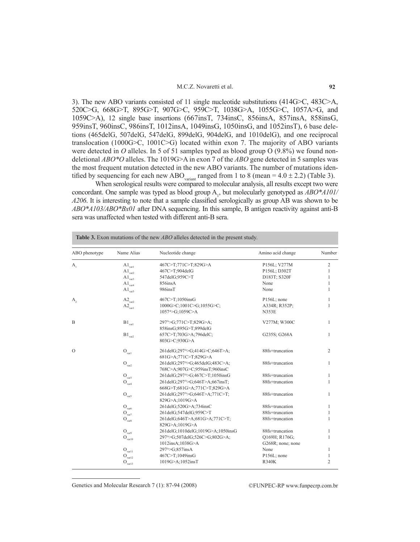#### M.C.Z. Novaretti et al.

3). The new ABO variants consisted of 11 single nucleotide substitutions (414G>C, 483C>A, 520C>G, 668G>T, 895G>T, 907G>C, 959C>T, 1038G>A, 1055G>C, 1057A>G, and 1059C>A), 12 single base insertions (667insT, 734insC, 856insA, 857insA, 858insG, 959insT, 960insC, 986insT, 1012insA, 1049insG, 1050insG, and 1052insT), 6 base deletions (465delG, 507delG, 547delG, 899delG, 904delG, and 1010delG), and one reciprocal translocation (1000G>C, 1001C>G) located within exon 7. The majority of ABO variants were detected in *O* alleles. In 5 of 51 samples typed as blood group O (9.8%) we found nondeletional *ABO\*O* alleles. The 1019G>A in exon 7 of the *ABO* gene detected in 5 samples was the most frequent mutation detected in the new ABO variants. The number of mutations identified by sequencing for each new ABO<sub>variant</sub> ranged from 1 to 8 (mean =  $4.0 \pm 2.2$ ) (Table 3).

When serological results were compared to molecular analysis, all results except two were concordant. One sample was typed as blood group A<sub>1</sub>, but molecularly genotyped as  $\text{ABO*}$  A101/ *A206*. It is interesting to note that a sample classified serologically as group AB was shown to be *ABO\*A103/ABO\*Bx01* after DNA sequencing. In this sample, B antigen reactivity against anti-B sera was unaffected when tested with different anti-B sera.

| ABO phenotype  | Name Alias                  | Nucleotide change                          | Amino acid change | Number         |
|----------------|-----------------------------|--------------------------------------------|-------------------|----------------|
| $A_{1}$        | $\rm {A1_{\rm var1}}$       | 467C>T;771C>T;829G>A                       | P156L; V277M      | 2              |
|                | $\rm {A1_{\rm var2}}$       | 467C>T;904delG                             | P156L; D302T      | 1              |
|                | $\rm {A1_{\rm var3}}$       | 547delG;959C>T                             | D183T; S320F      | 1              |
|                | $\rm {A1_{\rm var4}}$       | 856insA                                    | None              | 1              |
|                | $\rm {A1_{var5}}$           | 986insT                                    | None              | 1              |
| A <sub>2</sub> | $A2_{\text{var}2}$          | 467C>T;1050insG                            | P156L; none       | 1              |
|                | $\mbox{A2}_\text{var1}$     | 1000G>C:1001C>G:1055G>C:                   | A334R; R352P;     | 1              |
|                |                             | 1057^>G;1059C>A                            | <b>N353E</b>      |                |
| $\mathbf B$    | $\mathrm{B1}_{\rm var1}$    | 297^>G;771C>T;829G>A;                      | V277M; W300C      | $\mathbf{1}$   |
|                |                             | 858insG;895G>T;899delG                     |                   |                |
|                | $\mathrm{B1}_{\text{var2}}$ | 657C>T;703G>A;796delC;                     | G235S; G268A      | $\mathbf{1}$   |
|                |                             | 803G>C;930G>A                              |                   |                |
| $\Omega$       | $\mathcal{O}_{\text{varl}}$ | 261delG;297 <sup>A</sup> >G;414G>C;646T>A; | 88fs+truncation   | $\overline{2}$ |
|                |                             | 681G>A;771C>T;829G>A                       |                   |                |
|                | $\mathbf{O}_{\text{var2}}$  | 261delG;297^>G;465delG;483C>A;             | 88fs+truncation   | $\mathbf{1}$   |
|                |                             | 768C>A;907G>C;959insT;960insC              |                   |                |
|                | $\mathcal{O}_\text{var3}$   | 261delG;297^>G;467C>T;1050insG             | 88fs+truncation   | $\mathbf{1}$   |
|                | $\mathcal{O}_\text{var4}$   | 261delG;297^>G;646T>A;667insT;             | 88fs+truncation   | $\mathbf{1}$   |
|                |                             | 668G>T;681G>A;771C>T;829G>A                |                   |                |
|                | $\mathcal{O}_{\text{var5}}$ | 261delG;297^>G;646T>A;771C>T;              | 88fs+truncation   | $\mathbf{1}$   |
|                |                             | 829G>A;1019G>A                             |                   |                |
|                | $\mathcal{O}_\text{var6}$   | 261delG;520G>A;734insC                     | 88fs+truncation   | 1              |
|                | $\mathbf{O}_{\text{var7}}$  | 261delG;547delG;959C>T                     | 88fs+truncation   | $\mathbf{1}$   |
|                | $\mathcal{O}_{\text{var8}}$ | 261delG;646T>A;681G>A;771C>T;              | 88fs+truncation   | 1              |
|                |                             | 829G>A;1019G>A                             |                   |                |
|                | $\mathcal{O}_\text{var9}$   | 261delG;1010delG;1019G>A;1050insG          | 88fs+truncation   | 1              |
|                | ${\cal O}_{\rm var10}$      | 297^>G:507delG:526C>G:802G>A:              | O169H; R176G;     | $\mathbf{1}$   |
|                |                             | 1012insA;1038G>A                           | G268R; none; none |                |
|                | $\mathcal{O}_\text{var11}$  | 297 <sup>A</sup> >G;857insA                | None              | 1              |
|                | $\mathcal{O}_\text{var12}$  | 467C>T;1049insG                            | P156L; none       | 1              |
|                | $\mathbf{O}_{\text{var13}}$ | 1019G>A;1052insT                           | <b>R340K</b>      | $\overline{2}$ |

**Table 3.** Exon mutations of the new *ABO* alleles detected in the present study.

Genetics and Molecular Research 7 (1): 87-94 (2008) ©FUNPEC-RP www.funpecrp.com.br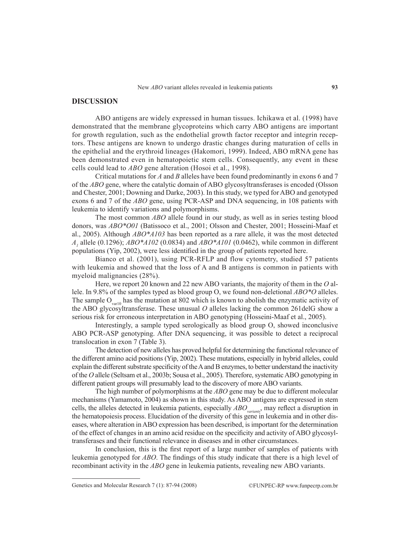## **DISCUSSION**

ABO antigens are widely expressed in human tissues. Ichikawa et al. (1998) have demonstrated that the membrane glycoproteins which carry ABO antigens are important for growth regulation, such as the endothelial growth factor receptor and integrin receptors. These antigens are known to undergo drastic changes during maturation of cells in the epithelial and the erythroid lineages (Hakomori, 1999). Indeed, ABO mRNA gene has been demonstrated even in hematopoietic stem cells. Consequently, any event in these cells could lead to *ABO* gene alteration (Hosoi et al., 1998).

Critical mutations for *A* and *B* alleles have been found predominantly in exons 6 and 7 of the *ABO* gene, where the catalytic domain of ABO glycosyltransferases is encoded (Olsson and Chester, 2001; Downing and Darke, 2003). In this study, we typed for ABO and genotyped exons 6 and 7 of the *ABO* gene, using PCR-ASP and DNA sequencing, in 108 patients with leukemia to identify variations and polymorphisms.

The most common *ABO* allele found in our study, as well as in series testing blood donors, was *ABO\*O01* (Batissoco et al., 2001; Olsson and Chester, 2001; Hosseini-Maaf et al., 2005). Although *ABO\*A103* has been reported as a rare allele, it was the most detected *A1* allele (0.1296); *ABO\*A102* (0.0834) and *ABO\*A101* (0.0462), while common in different populations (Yip, 2002), were less identified in the group of patients reported here.

Bianco et al. (2001), using PCR-RFLP and flow cytometry, studied 57 patients with leukemia and showed that the loss of A and B antigens is common in patients with myeloid malignancies (28%).

Here, we report 20 known and 22 new ABO variants, the majority of them in the *O* allele. In 9.8% of the samples typed as blood group O, we found non-deletional *ABO\*O* alleles. The sample  $O_{\text{parallel}}$  has the mutation at 802 which is known to abolish the enzymatic activity of the ABO glycosyltransferase. These unusual *O* alleles lacking the common 261delG show a serious risk for erroneous interpretation in ABO genotyping (Hosseini-Maaf et al., 2005).

Interestingly, a sample typed serologically as blood group O, showed inconclusive ABO PCR-ASP genotyping. After DNA sequencing, it was possible to detect a reciprocal translocation in exon 7 (Table 3).

The detection of new alleles has proved helpful for determining the functional relevance of the different amino acid positions (Yip, 2002). These mutations, especially in hybrid alleles, could explain the different substrate specificity of the A and B enzymes, to better understand the inactivity of the *O* allele (Seltsam et al., 2003b; Sousa et al., 2005). Therefore, systematic ABO genotyping in different patient groups will presumably lead to the discovery of more ABO variants.

The high number of polymorphisms at the *ABO* gene may be due to different molecular mechanisms (Yamamoto, 2004) as shown in this study. As ABO antigens are expressed in stem cells, the alleles detected in leukemia patients, especially *ABO<sub>variants</sub>*, may reflect a disruption in the hematopoiesis process. Elucidation of the diversity of this gene in leukemia and in other diseases, where alteration in ABO expression has been described, is important for the determination of the effect of changes in an amino acid residue on the specificity and activity of ABO glycosyltransferases and their functional relevance in diseases and in other circumstances.

In conclusion, this is the first report of a large number of samples of patients with leukemia genotyped for *ABO*. The findings of this study indicate that there is a high level of recombinant activity in the *ABO* gene in leukemia patients, revealing new ABO variants.

Genetics and Molecular Research 7 (1): 87-94 (2008) ©FUNPEC-RP www.funpecrp.com.br